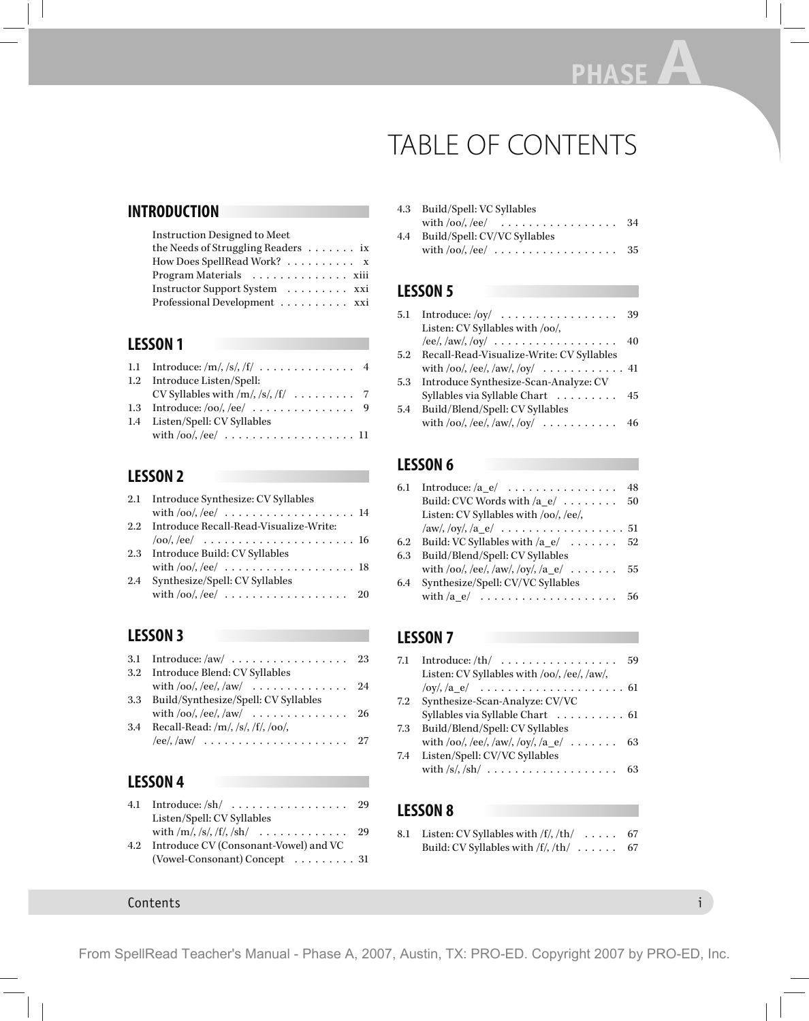# TABLE OF CONTENTS

#### **INTRODUCTION**

| <b>Instruction Designed to Meet</b>              |  |
|--------------------------------------------------|--|
| the Needs of Struggling Readers $\dots \dots$ ix |  |
| How Does SpellRead Work? x                       |  |
| Program Materials xiii                           |  |
| Instructor Support System xxi                    |  |
| Professional Development $\dots\dots\dots$ xxi   |  |

#### **LESSON 1**

| 1.1 Introduce: $/m/$ , /s/, /f/ 4 |  |
|-----------------------------------|--|
| 1.2 Introduce Listen/Spell:       |  |
|                                   |  |
|                                   |  |
| 1.4 Listen/Spell: CV Syllables    |  |
|                                   |  |

#### **LESSON 2**

| 2.1 Introduce Synthesize: CV Syllables     |
|--------------------------------------------|
|                                            |
| 2.2 Introduce Recall-Read-Visualize-Write: |
|                                            |
| 2.3 Introduce Build: CV Syllables          |
|                                            |
| 2.4 Synthesize/Spell: CV Syllables         |
| with $\sqrt{oo}$ , $\sqrt{ee}$ 20          |
|                                            |

#### **LESSON 3**

|     | 3.1 Introduce: $\langle \text{aw}/\dots \dots \dots \dots \dots \dots \rangle$ 23 |  |
|-----|-----------------------------------------------------------------------------------|--|
|     | 3.2 Introduce Blend: CV Syllables                                                 |  |
|     |                                                                                   |  |
|     | 3.3 Build/Synthesize/Spell: CV Syllables                                          |  |
|     | with $\vert$ oo/, $\vert$ ee/, $\vert$ aw $\vert$ 26                              |  |
| 3.4 | Recall-Read: $/m/$ , /s/, /f/, /oo/,                                              |  |
|     |                                                                                   |  |

#### **LESSON 4**

|     | 4.1 Introduce: $\langle \text{sh}/\dots \dots \dots \dots \dots \rangle$ 29 |  |
|-----|-----------------------------------------------------------------------------|--|
|     | Listen/Spell: CV Syllables                                                  |  |
|     |                                                                             |  |
| 4.2 | Introduce CV (Consonant-Vowel) and VC                                       |  |
|     | (Vowel-Consonant) Concept 31                                                |  |

#### 4.3 Build/Spell: VC Syllables with /oo/, /ee/ . . . . . . . . . . . . . . . . . 34 4.4 Build/Spell: CV/VC Syllables with  $/oo/$ ,  $/ee/$  . . . . . . . . . . . . . . . . . . 35

### **LESSON 5**

|     | Listen: CV Syllables with /oo/,                                                                                                      |    |
|-----|--------------------------------------------------------------------------------------------------------------------------------------|----|
|     | $\langle ee , \langle aw , \langle oy  \dots \dots \dots \dots \dots \dots \dots \dots \rangle$                                      | 40 |
| 5.2 | Recall-Read-Visualize-Write: CV Syllables                                                                                            |    |
|     | with $\sqrt{oo}$ , $\sqrt{ee}$ , $\sqrt{aw}$ , $\sqrt{oy}/\ldots \ldots \ldots \ldots$ 41                                            |    |
|     | 5.3 Introduce Synthesize-Scan-Analyze: CV                                                                                            |    |
|     | Syllables via Syllable Chart  45                                                                                                     |    |
| 5.4 | Build/Blend/Spell: CV Syllables                                                                                                      |    |
|     | with $\frac{\log x}{\log x}$ , $\frac{\log x}{\log x}$ , $\frac{\log x}{\log x}$ , $\frac{\log x}{\log x}$ , $\frac{\log x}{\log x}$ |    |
|     |                                                                                                                                      |    |

# **LESSON 6**

| 6.1 | Introduce: $\left\langle a \right\rangle$        | 48 |
|-----|--------------------------------------------------|----|
|     | Build: CVC Words with $/a_e$                     | 50 |
|     | Listen: CV Syllables with /oo/, /ee/,            |    |
|     |                                                  |    |
| 6.2 | Build: VC Syllables with $/a_e$ 52               |    |
| 6.3 | Build/Blend/Spell: CV Syllables                  |    |
|     | with /oo/, /ee/, /aw/, /oy/, /a_e/ $\dots \dots$ | 55 |
|     | 6.4 Synthesize/Spell: CV/VC Syllables            |    |
|     |                                                  | 56 |
|     |                                                  |    |

# **LESSON 7**

| 7.1 | Introduce: $/\text{th}/\dots$               | 59 |
|-----|---------------------------------------------|----|
|     | Listen: CV Syllables with /oo/, /ee/, /aw/, |    |
|     |                                             |    |
| 7.2 | Synthesize-Scan-Analyze: CV/VC              |    |
|     | Syllables via Syllable Chart  61            |    |
| 7.3 | Build/Blend/Spell: CV Syllables             |    |
|     | with /oo/, /ee/, /aw/, /oy/, /a_e/  63      |    |
| 7.4 | Listen/Spell: CV/VC Syllables               |    |
|     |                                             | 63 |
|     |                                             |    |

#### **LESSON 8**

| 8.1 Listen: CV Syllables with $/f/$ , $/\text{th}/$ | -67 |
|-----------------------------------------------------|-----|
| Build: CV Syllables with $/f/$ , $/\text{th}/$      | -67 |

#### Contents i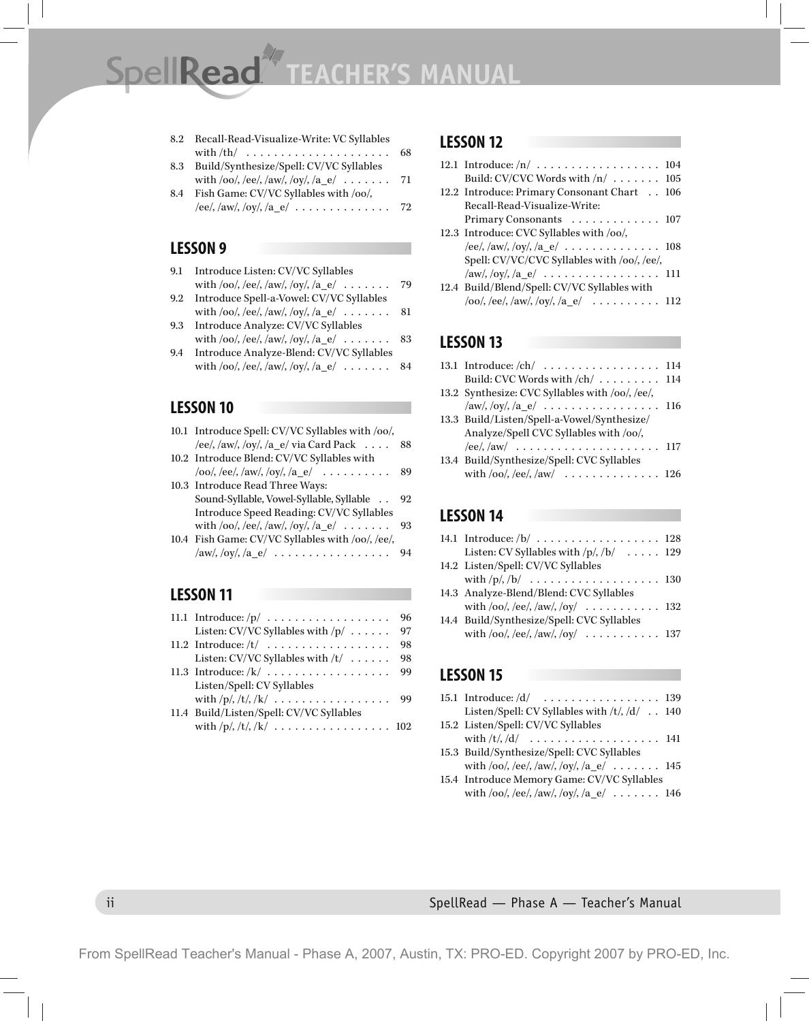SpellRead<sup>\*</sup> TEACHER'S MANUAL

| 8.2 | Recall-Read-Visualize-Write: VC Syllables |    |
|-----|-------------------------------------------|----|
|     |                                           | 68 |
| 8.3 | Build/Synthesize/Spell: CV/VC Syllables   |    |
|     | with /oo/, /ee/, /aw/, /oy/, /a_e/ 71     |    |
| 8.4 | Fish Game: CV/VC Syllables with /oo/,     |    |
|     | /ee/, /aw/, /oy/, /a_e/ 72                |    |

#### **LESSON 9**

| 9.1 Introduce Listen: CV/VC Syllables            |    |
|--------------------------------------------------|----|
| with /oo/, /ee/, /aw/, /oy/, /a_e/ $\dots \dots$ | 79 |

| 9.2 Introduce Spell-a-Vowel: CV/VC Syllables     |     |
|--------------------------------------------------|-----|
| with /oo/, /ee/, /aw/, /oy/, /a_e/ $\dots \dots$ | -81 |
|                                                  |     |

- 9.3 Introduce Analyze: CV/VC Syllables with /oo/, /ee/, /aw/, /oy/, /a\_e/  $\dots \dots$  83
- 9.4 Introduce Analyze-Blend: CV/VC Syllables with  $/oo/$ , /ee/, /aw/, /oy/, /a\_e/  $\dots \dots$  84

#### **LESSON 10**

| 10.1 Introduce Spell: CV/VC Syllables with /oo/,                                                                                     |    |
|--------------------------------------------------------------------------------------------------------------------------------------|----|
| /ee/, /aw/, /oy/, /a_e/ via Card Pack $\dots$                                                                                        | 88 |
| 10.2 Introduce Blend: CV/VC Syllables with                                                                                           |    |
| $/oo/$ , /ee/, /aw/, /oy/, /a_e/                                                                                                     | 89 |
| 10.3 Introduce Read Three Ways:                                                                                                      |    |
| Sound-Syllable, Vowel-Syllable, Syllable                                                                                             | 92 |
| Introduce Speed Reading: CV/VC Syllables                                                                                             |    |
| with $\frac{\log x}{\log x}$ , $\frac{\log x}{\log x}$ , $\frac{\log x}{\log x}$ , $\frac{\log x}{\log x}$ , $\frac{\log x}{\log x}$ | 93 |
| 10.4 Fish Game: CV/VC Syllables with /oo/, /ee/,                                                                                     |    |
|                                                                                                                                      | 94 |

#### **LESSON 11**

| 11.1 Introduce: $/p / \ldots \ldots \ldots \ldots \ldots$ | 96 |
|-----------------------------------------------------------|----|
| Listen: CV/VC Syllables with $/p / \ldots \ldots$         | 97 |
| 11.2 Introduce: $/t / \ldots \ldots \ldots \ldots \ldots$ | 98 |
| Listen: CV/VC Syllables with $/t / \ldots$                | 98 |
| 11.3 Introduce: $/k / \ldots \ldots \ldots \ldots \ldots$ | 99 |
| Listen/Spell: CV Syllables                                |    |
| with $/p/2, /t/2, /k/2 \ldots  \ldots $                   | 99 |
| 11.4 Build/Listen/Spell: CV/VC Syllables                  |    |
| with $/p/2, /t/2, /k/3102$                                |    |
|                                                           |    |

#### **LESSON 12**

| 12.1 Introduce: $/n / \ldots \ldots \ldots \ldots \ldots \ldots 104$                                             |  |
|------------------------------------------------------------------------------------------------------------------|--|
| Build: CV/CVC Words with $/n /  $ 105                                                                            |  |
| 12.2 Introduce: Primary Consonant Chart 106                                                                      |  |
| Recall-Read-Visualize-Write:                                                                                     |  |
| Primary Consonants 107                                                                                           |  |
| 12.3 Introduce: CVC Syllables with /oo/,                                                                         |  |
| /ee/, /aw/, /oy/, /a_e/ 108                                                                                      |  |
| Spell: CV/VC/CVC Syllables with /oo/, /ee/,                                                                      |  |
| $/\text{aw}/\text{,} / \text{oy}/\text{,} / \text{a}_{\text{e}} / \ldots \ldots \ldots \ldots \ldots \ldots 111$ |  |
| 12.4 Build/Blend/Spell: CV/VC Syllables with                                                                     |  |
| $/oo/$ , /ee/, /aw/, /oy/, /a_e/  112                                                                            |  |

#### **LESSON 13**

| 13.1 Introduce: $\langle$ ch $/$ 114                                          |  |
|-------------------------------------------------------------------------------|--|
| Build: CVC Words with $\langle$ ch $/ \ldots \ldots \ldots \ldots \ldots$ 114 |  |
| 13.2 Synthesize: CVC Syllables with /oo/, /ee/,                               |  |
|                                                                               |  |
| 13.3 Build/Listen/Spell-a-Vowel/Synthesize/                                   |  |
| Analyze/Spell CVC Syllables with /oo/,                                        |  |
|                                                                               |  |
| 13.4 Build/Synthesize/Spell: CVC Syllables                                    |  |
|                                                                               |  |

#### **LESSON 14**

| 14.1 Introduce: $/b / \ldots \ldots \ldots \ldots \ldots 128$                              |  |
|--------------------------------------------------------------------------------------------|--|
| Listen: CV Syllables with $/p/$ , $/b/$ 129                                                |  |
| 14.2 Listen/Spell: CV/VC Syllables                                                         |  |
|                                                                                            |  |
| 14.3 Analyze-Blend/Blend: CVC Syllables                                                    |  |
| with $\sqrt{oo}$ , $\sqrt{ee}$ , $\sqrt{aw}$ , $\sqrt{oy}/\ldots \ldots \ldots \ldots 132$ |  |
| 14.4 Build/Synthesize/Spell: CVC Syllables                                                 |  |
| with $\sqrt{oo}$ , $\sqrt{ee}$ , $\sqrt{aw}$ , $\sqrt{oy}/\ldots \ldots \ldots \ldots 137$ |  |

#### **LESSON 15**

| Listen/Spell: CV Syllables with $/t$ , $/d$ 140 |  |
|-------------------------------------------------|--|
| 15.2 Listen/Spell: CV/VC Syllables              |  |
| with $/t$ , $/d$ 141                            |  |
| 15.3 Build/Synthesize/Spell: CVC Syllables      |  |
| with /oo/, /ee/, /aw/, /oy/, /a_e/ 145          |  |
| 15.4 Introduce Memory Game: CV/VC Syllables     |  |
| with /oo/, /ee/, /aw/, /oy/, /a_e/ 146          |  |
|                                                 |  |

ii SpellRead — Phase A — Teacher's Manual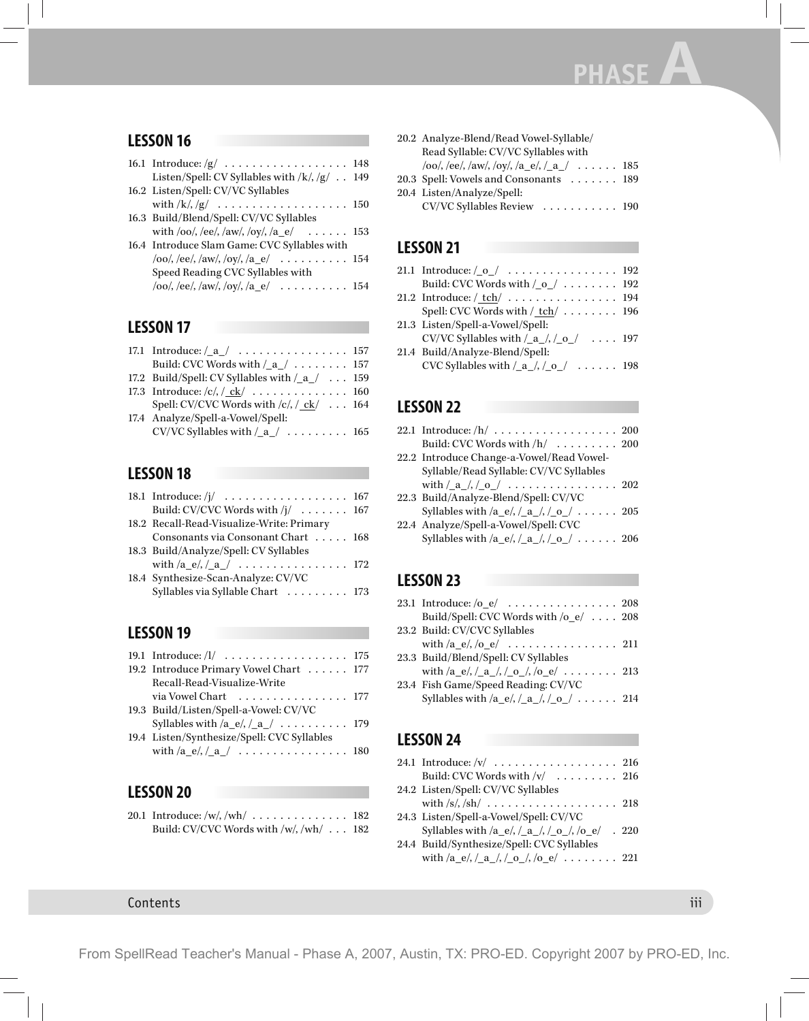# **LESSON 16**

| 16.1 Introduce: $/g / \ldots \ldots \ldots \ldots \ldots \ldots 148$       |  |
|----------------------------------------------------------------------------|--|
| Listen/Spell: CV Syllables with $/k$ , /g/ 149                             |  |
| 16.2 Listen/Spell: CV/VC Syllables                                         |  |
| with $/k$ , $/g$ $\ldots$ $\ldots$ $\ldots$ $\ldots$ $\ldots$ $\ldots$ 150 |  |
| 16.3 Build/Blend/Spell: CV/VC Syllables                                    |  |
| with /oo/, /ee/, /aw/, /oy/, /a_e/ 153                                     |  |
| 16.4 Introduce Slam Game: CVC Syllables with                               |  |
| $/oo/$ , /ee/, /aw/, /oy/, /a_e/  154                                      |  |
| Speed Reading CVC Syllables with                                           |  |
| $/oo/$ , /ee/, /aw/, /oy/, /a_e/ 154                                       |  |
|                                                                            |  |

# **LESSON 17**

| Build: CVC Words with $\frac{a}{a}$ ,  157                                                                |  |
|-----------------------------------------------------------------------------------------------------------|--|
| 17.2 Build/Spell: CV Syllables with $\binom{a}{ }$ 159                                                    |  |
| 17.3 Introduce: $\frac{\c}{c}, \, \frac{\c}{c}, \, \frac{\c}{c}, \, \ldots, \, \ldots, \, \ldots, \, 160$ |  |
| Spell: CV/CVC Words with $\frac{\cosh(\frac{\pi x}{c})}{\sinh(\frac{\pi x}{c})}$ 164                      |  |
| 17.4 Analyze/Spell-a-Vowel/Spell:                                                                         |  |
| CV/VC Syllables with $\frac{a}{a}$ 165                                                                    |  |

# **LESSON 18**

| Build: CV/CVC Words with $/j / \ldots$ 167 |  |
|--------------------------------------------|--|
| 18.2 Recall-Read-Visualize-Write: Primary  |  |
| Consonants via Consonant Chart  168        |  |
| 18.3 Build/Analyze/Spell: CV Syllables     |  |
| with $\sqrt{a_e}$ , $\sqrt{a_e}$ 172       |  |
| 18.4 Synthesize-Scan-Analyze: CV/VC        |  |
| Syllables via Syllable Chart 173           |  |
|                                            |  |

# **LESSON 19**

| 19.2 Introduce Primary Vowel Chart 177                           |  |
|------------------------------------------------------------------|--|
| Recall-Read-Visualize-Write                                      |  |
| via Vowel Chart 177                                              |  |
| 19.3 Build/Listen/Spell-a-Vowel: CV/VC                           |  |
| Syllables with $\text{/a_e/}, \text{/a'_1}, \ldots, \ldots, 179$ |  |
| 19.4 Listen/Synthesize/Spell: CVC Syllables                      |  |
| with $/a_e$ , $/_{a}$ $/_{a}$ 180                                |  |
|                                                                  |  |

# **LESSON 20**

| 20.1 Introduce: $/w/$ , $/wh/$ 182              |  |
|-------------------------------------------------|--|
| Build: CV/CVC Words with /w/, /wh/ $\ldots$ 182 |  |

| 20.2 Analyze-Blend/Read Vowel-Syllable/           |  |
|---------------------------------------------------|--|
| Read Syllable: CV/VC Syllables with               |  |
| $/oo/$ , /ee/, /aw/, /oy/, /a_e/, /_a_/  185      |  |
| 20.3 Spell: Vowels and Consonants  189            |  |
| 20.4 Listen/Analyze/Spell:                        |  |
| CV/VC Syllables Review $\dots\dots\dots\dots$ 190 |  |

# **LESSON 21**

| Build: CVC Words with $\sqrt{\phantom{a}}$ $\cdot \cdot \cdot \cdot \cdot \cdot \cdot \cdot 192$ |  |
|--------------------------------------------------------------------------------------------------|--|
|                                                                                                  |  |
|                                                                                                  |  |
| 21.3 Listen/Spell-a-Vowel/Spell:                                                                 |  |
| CV/VC Syllables with $\frac{a}{a}$ , $\frac{b}{c}$ , $\frac{c}{a}$ , $\cdots$ 197                |  |
| 21.4 Build/Analyze-Blend/Spell:                                                                  |  |
| CVC Syllables with $\frac{a}{a}$ , $\frac{b}{c}$ , $\frac{c}{a}$ , $\cdots$ 198                  |  |
|                                                                                                  |  |

# **LESSON 22**

| 22.1 Introduce: $/h /      200$                                                     |  |
|-------------------------------------------------------------------------------------|--|
| Build: CVC Words with /h/  200                                                      |  |
| 22.2 Introduce Change-a-Vowel/Read Vowel-                                           |  |
| Syllable/Read Syllable: CV/VC Syllables                                             |  |
|                                                                                     |  |
| 22.3 Build/Analyze-Blend/Spell: CV/VC                                               |  |
| Syllables with $/a_e/_{a_e/},$ $\alpha_1/_{a_e/},$ $\alpha_2/_{a_e/},$ $\ldots$ 205 |  |
| 22.4 Analyze/Spell-a-Vowel/Spell: CVC                                               |  |
| Syllables with /a_e/, /_a_/, /_o_/ 206                                              |  |

# **LESSON 23**

| Build/Spell: CVC Words with /o_e/  208                                                                                                                                           |  |
|----------------------------------------------------------------------------------------------------------------------------------------------------------------------------------|--|
| 23.2 Build: CV/CVC Syllables                                                                                                                                                     |  |
|                                                                                                                                                                                  |  |
| 23.3 Build/Blend/Spell: CV Syllables                                                                                                                                             |  |
| with $\frac{a_e}{\lambda_{1.0}}$ , $\frac{a_{h}}{a_{h}}$ , $\frac{a_{h}}{a_{h}}$ , $\frac{a_{h}}{a_{h}}$ , $\frac{a_{h}}{a_{h}}$ , $\frac{a_{h}}{a_{h}}$ , $\frac{a_{h}}{a_{h}}$ |  |
| 23.4 Fish Game/Speed Reading: CV/VC                                                                                                                                              |  |
| Syllables with $/a_e/_{a_e/}$ , $\frac{1}{2}$ , $\frac{1}{2}$ , $\frac{1}{2}$ , $\frac{1}{2}$ , $\frac{1}{2}$                                                                    |  |

# **LESSON 24**

| Build: CVC Words with /v/  216                                                                                                                            |  |
|-----------------------------------------------------------------------------------------------------------------------------------------------------------|--|
| 24.2 Listen/Spell: CV/VC Syllables                                                                                                                        |  |
|                                                                                                                                                           |  |
| 24.3 Listen/Spell-a-Vowel/Spell: CV/VC                                                                                                                    |  |
| Syllables with $/a_e$ , $/_{a_1}$ , $/_{o_2}$ , $/_{o_e}$ , $/_{o_e}$ . 220                                                                               |  |
| 24.4 Build/Synthesize/Spell: CVC Syllables                                                                                                                |  |
| with $\frac{a_e}{\lambda_{1a_e}}$ , $\frac{a_{h_e}}{a_h}$ , $\frac{a_{h_e}}{a_h}$ , $\frac{a_{h_e}}{a_e}$ , $\frac{a_{h_e}}{a_h}$ , $\frac{a_{h_e}}{a_h}$ |  |
|                                                                                                                                                           |  |

#### Contents iii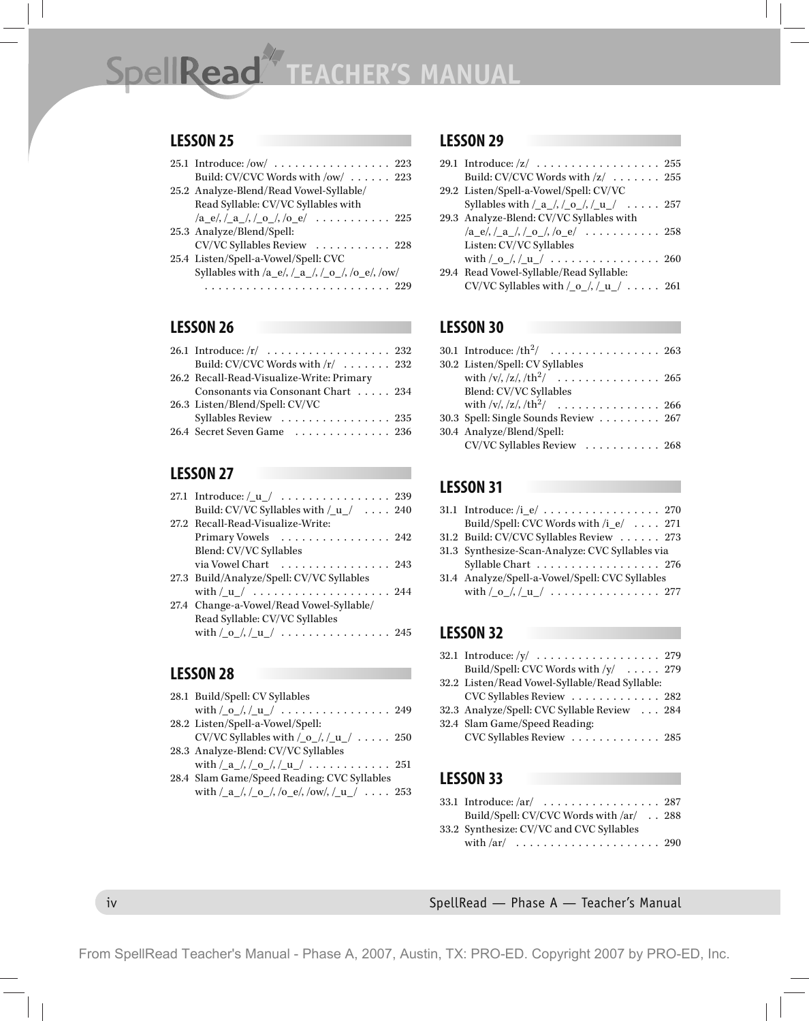# SpellRead<sup>/</sup> TEACHER'S MANUAL

#### **LESSON 25**

| Build: CV/CVC Words with /ow/  223              |
|-------------------------------------------------|
| 25.2 Analyze-Blend/Read Vowel-Syllable/         |
| Read Syllable: CV/VC Syllables with             |
|                                                 |
| 25.3 Analyze/Blend/Spell:                       |
| CV/VC Syllables Review 228                      |
| 25.4 Listen/Spell-a-Vowel/Spell: CVC            |
| Syllables with /a_e/, /_a_/, /_o_/, /o_e/, /ow/ |
|                                                 |
|                                                 |

#### **LESSON 26**

| Build: CV/CVC Words with $\langle r \rangle \ldots \ldots \ldots$ 232 |
|-----------------------------------------------------------------------|
| 26.2 Recall-Read-Visualize-Write: Primary                             |
| Consonants via Consonant Chart 234                                    |
| 26.3 Listen/Blend/Spell: CV/VC                                        |
| Syllables Review  235                                                 |
| 26.4 Secret Seven Game 236                                            |

# **LESSON 27**

| 27.1 Introduce: $\begin{bmatrix} 1 & \cdots & \cdots & \cdots & \cdots & 239 \end{bmatrix}$            |
|--------------------------------------------------------------------------------------------------------|
| Build: CV/VC Syllables with $/$ _u_ $/$ 240                                                            |
| 27.2 Recall-Read-Visualize-Write:                                                                      |
| Primary Vowels 242                                                                                     |
| Blend: CV/VC Syllables                                                                                 |
| via Vowel Chart 243                                                                                    |
| 27.3 Build/Analyze/Spell: CV/VC Syllables                                                              |
|                                                                                                        |
| 27.4 Change-a-Vowel/Read Vowel-Syllable/                                                               |
| Read Syllable: CV/VC Syllables                                                                         |
| with $\frac{1}{0}$ $\frac{1}{1}$ $\frac{1}{1}$ $\frac{1}{1}$ $\cdots$ $\cdots$ $\cdots$ $\cdots$ . 245 |
|                                                                                                        |

# **LESSON 28**

| 28.1 Build/Spell: CV Syllables                                                                                                                                                                     |
|----------------------------------------------------------------------------------------------------------------------------------------------------------------------------------------------------|
| with $\frac{1}{0}$ $\frac{1}{1}$ $\frac{1}{1}$ $\frac{1}{1}$ $\cdots$ $\cdots$ $\cdots$ $\cdots$ $\cdots$ 249                                                                                      |
| 28.2 Listen/Spell-a-Vowel/Spell:                                                                                                                                                                   |
| CV/VC Syllables with /_o_/, /_u_/  250                                                                                                                                                             |
| 28.3 Analyze-Blend: CV/VC Syllables                                                                                                                                                                |
| with $\frac{a}{a}$ , $\frac{a}{a}$ , $\frac{a}{a}$ , $\frac{a}{a}$ , $\frac{a}{a}$ , $\frac{a}{a}$ , $\frac{a}{a}$ , $\frac{a}{a}$ , $\frac{a}{a}$ , $\frac{a}{a}$ , $\frac{a}{a}$ , $\frac{a}{a}$ |
| 28.4 Slam Game/Speed Reading: CVC Syllables                                                                                                                                                        |
| with $\frac{1}{a}$ /, $\frac{1}{c}$ /, $\frac{1}{c}$ /o $\frac{1}{c}$ /ow/, $\frac{1}{u}$ 253                                                                                                      |

#### **LESSON 29**

| 29.1 Introduce: $ z $ 255                                                                                                                                                    |  |
|------------------------------------------------------------------------------------------------------------------------------------------------------------------------------|--|
| Build: CV/CVC Words with $ z $ 255                                                                                                                                           |  |
| 29.2 Listen/Spell-a-Vowel/Spell: CV/VC                                                                                                                                       |  |
| Syllables with $\frac{a}{a}$ , $\frac{b}{c}$ , $\frac{a}{a}$ , $\frac{c}{a}$ , $\frac{a}{a}$ , $\frac{c}{a}$ , $\frac{a}{a}$ , $\frac{c}{a}$ , $\frac{c}{a}$ , $\frac{c}{a}$ |  |
| 29.3 Analyze-Blend: CV/VC Syllables with                                                                                                                                     |  |
|                                                                                                                                                                              |  |
| Listen: CV/VC Syllables                                                                                                                                                      |  |
| with $\frac{1}{0}$ $\frac{1}{1}$ $\frac{1}{1}$ $\frac{1}{1}$ $\cdots$ $\cdots$ $\cdots$ $\cdots$ $\cdots$ 260                                                                |  |
| 29.4 Read Vowel-Syllable/Read Syllable:                                                                                                                                      |  |
| CV/VC Syllables with $\frac{0}{1}$ , $\frac{1}{1}$ $\ldots$ . 261                                                                                                            |  |
|                                                                                                                                                                              |  |

#### **LESSON 30**

| 30.2 Listen/Spell: CV Syllables       |  |
|---------------------------------------|--|
|                                       |  |
| Blend: CV/VC Syllables                |  |
| with $\sqrt{v_1/z_1}/\sqrt{th^2}$ 266 |  |
| 30.3 Spell: Single Sounds Review 267  |  |
| 30.4 Analyze/Blend/Spell:             |  |
| CV/VC Syllables Review 268            |  |

#### **LESSON 31**

| 31.1 Introduce: $/i_e /      270$                                                                             |  |
|---------------------------------------------------------------------------------------------------------------|--|
| Build/Spell: CVC Words with /i_e/ 271                                                                         |  |
| 31.2 Build: CV/CVC Syllables Review 273                                                                       |  |
| 31.3 Synthesize-Scan-Analyze: CVC Syllables via                                                               |  |
| Syllable Chart 276                                                                                            |  |
| 31.4 Analyze/Spell-a-Vowel/Spell: CVC Syllables                                                               |  |
| with $\frac{1}{0}$ $\frac{1}{1}$ $\frac{1}{1}$ $\frac{1}{1}$ $\cdots$ $\cdots$ $\cdots$ $\cdots$ $\cdots$ 277 |  |
|                                                                                                               |  |

# **LESSON 32**

| 32.1 Introduce: $/y / \ldots \ldots \ldots \ldots \ldots \ldots 279$ |  |
|----------------------------------------------------------------------|--|
| Build/Spell: CVC Words with /y/  279                                 |  |
| 32.2 Listen/Read Vowel-Syllable/Read Syllable:                       |  |
| CVC Syllables Review  282                                            |  |
| 32.3 Analyze/Spell: CVC Syllable Review 284                          |  |
| 32.4 Slam Game/Speed Reading:                                        |  |
| CVC Syllables Review  285                                            |  |
|                                                                      |  |

#### **LESSON 33**

| 33.1 Introduce: $\langle ar \rangle$ 287 |  |
|------------------------------------------|--|
| Build/Spell: CV/CVC Words with /ar/ 288  |  |
| 33.2 Synthesize: CV/VC and CVC Syllables |  |
|                                          |  |

iv SpellRead — Phase A — Teacher's Manual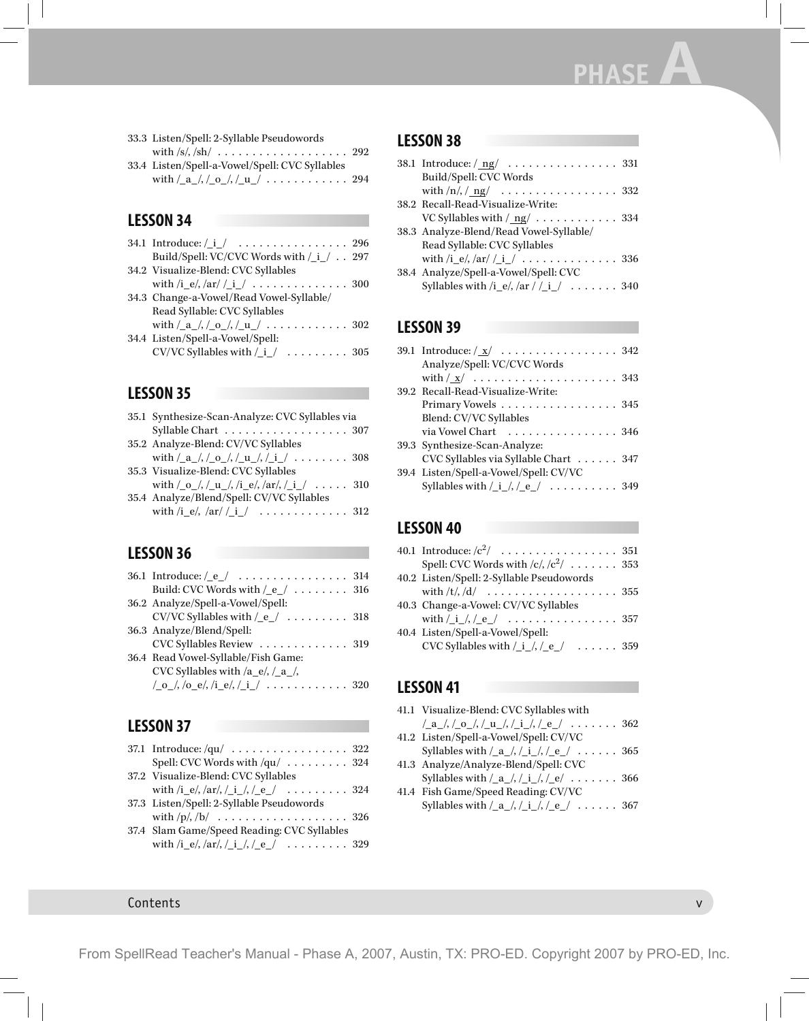**PHASE A**

| 33.3 Listen/Spell: 2-Syllable Pseudowords                                                                                                                                          |  |
|------------------------------------------------------------------------------------------------------------------------------------------------------------------------------------|--|
|                                                                                                                                                                                    |  |
| 33.4 Listen/Spell-a-Vowel/Spell: CVC Syllables                                                                                                                                     |  |
| with $\frac{1}{2}$ , $\frac{1}{2}$ , $\frac{1}{2}$ , $\frac{1}{2}$ , $\frac{1}{2}$ , $\frac{1}{2}$ , $\frac{1}{2}$ , $\frac{1}{2}$ , $\frac{1}{2}$ , $\frac{1}{2}$ , $\frac{1}{2}$ |  |

# **LESSON 34**

| 34.1 Introduce: $/ i /    $ 296                                                                                                                                                                    |  |
|----------------------------------------------------------------------------------------------------------------------------------------------------------------------------------------------------|--|
| Build/Spell: VC/CVC Words with / i / 297                                                                                                                                                           |  |
| 34.2 Visualize-Blend: CVC Syllables                                                                                                                                                                |  |
|                                                                                                                                                                                                    |  |
| 34.3 Change-a-Vowel/Read Vowel-Syllable/                                                                                                                                                           |  |
| Read Syllable: CVC Syllables                                                                                                                                                                       |  |
| with $\frac{a}{a}$ , $\frac{1}{c}$ , $\frac{a}{a}$ , $\frac{1}{a}$ , $\frac{1}{a}$ , $\frac{1}{a}$ , $\frac{1}{a}$ , $\frac{1}{a}$ , $\frac{1}{a}$ , $\frac{1}{a}$ , $\frac{1}{a}$ , $\frac{1}{a}$ |  |
| 34.4 Listen/Spell-a-Vowel/Spell:                                                                                                                                                                   |  |
| CV/VC Syllables with $/_i/$ 305                                                                                                                                                                    |  |
|                                                                                                                                                                                                    |  |

# **LESSON 35**

| 35.1 Synthesize-Scan-Analyze: CVC Syllables via                                                                                                                                            |  |
|--------------------------------------------------------------------------------------------------------------------------------------------------------------------------------------------|--|
| Syllable Chart 307                                                                                                                                                                         |  |
| 35.2 Analyze-Blend: CV/VC Syllables                                                                                                                                                        |  |
| with $\frac{a}{a}$ , $\frac{1}{0}$ , $\frac{a}{a}$ , $\frac{1}{a}$ , $\frac{1}{a}$ , $\frac{1}{a}$ , $\frac{1}{a}$ , $\frac{1}{a}$ , $\frac{1}{a}$ , $\frac{1}{a}$ , $\frac{1}{a}$         |  |
| 35.3 Visualize-Blend: CVC Syllables                                                                                                                                                        |  |
| with $\frac{1}{\rho_0}$ , $\frac{1}{\mu_0}$ , $\frac{1}{\rho_0}$ , $\frac{1}{\rho_0}$ , $\frac{1}{\rho_0}$ , $\frac{1}{\mu_0}$ , $\frac{1}{\mu_0}$ , $\frac{1}{\mu_0}$ , $\frac{1}{\mu_0}$ |  |
| 35.4 Analyze/Blend/Spell: CV/VC Syllables                                                                                                                                                  |  |
| with /i e/, /ar/ / i /  312                                                                                                                                                                |  |

# **LESSON 36**

| Build: CVC Words with $\angle e$ $\angle$ 316                                                                                             |  |
|-------------------------------------------------------------------------------------------------------------------------------------------|--|
| 36.2 Analyze/Spell-a-Vowel/Spell:                                                                                                         |  |
| CV/VC Syllables with $\angle e$ $\angle$ 318                                                                                              |  |
| 36.3 Analyze/Blend/Spell:                                                                                                                 |  |
| CVC Syllables Review 319                                                                                                                  |  |
| 36.4 Read Vowel-Syllable/Fish Game:                                                                                                       |  |
| CVC Syllables with $/a_e$ , $/_{a_1}$ ,                                                                                                   |  |
| $\frac{1}{0}$ $\frac{1}{0}$ $\frac{1}{0}$ $\frac{1}{0}$ $\frac{1}{0}$ $\frac{1}{0}$ $\frac{1}{0}$ $\cdots$ $\cdots$ $\cdots$ $\cdots$ 320 |  |

# **LESSON 37**

| Spell: CVC Words with /qu/  324             |  |
|---------------------------------------------|--|
| 37.2 Visualize-Blend: CVC Syllables         |  |
| with /i_e/, /ar/, /_i_/, /_e_/  324         |  |
| 37.3 Listen/Spell: 2-Syllable Pseudowords   |  |
|                                             |  |
| 37.4 Slam Game/Speed Reading: CVC Syllables |  |
| with /i_e/, /ar/, /_i_/, /_e_/  329         |  |

### **LESSON 38**

| Build/Spell: CVC Words                                            |  |
|-------------------------------------------------------------------|--|
| with $/n/(\underline{ng}/\ldots \ldots \ldots \ldots \ldots 332)$ |  |
| 38.2 Recall-Read-Visualize-Write:                                 |  |
| VC Syllables with $/\underline{ng}/ \dots \dots \dots 334$        |  |
| 38.3 Analyze-Blend/Read Vowel-Syllable/                           |  |
| Read Syllable: CVC Syllables                                      |  |
| with /i_e/, /ar/ /_i_/  336                                       |  |
| 38.4 Analyze/Spell-a-Vowel/Spell: CVC                             |  |
| Syllables with /i_e/, /ar / /_i_/  340                            |  |
|                                                                   |  |

# **LESSON 39**

| Analyze/Spell: VC/CVC Words                                                       |  |
|-----------------------------------------------------------------------------------|--|
|                                                                                   |  |
| 39.2 Recall-Read-Visualize-Write:                                                 |  |
| Primary Vowels $\dots \dots \dots \dots \dots \dots$ 345                          |  |
| Blend: CV/VC Syllables                                                            |  |
| via Vowel Chart 346                                                               |  |
| 39.3 Synthesize-Scan-Analyze:                                                     |  |
| CVC Syllables via Syllable Chart 347                                              |  |
| 39.4 Listen/Spell-a-Vowel/Spell: CV/VC                                            |  |
| Syllables with $\frac{1}{\cdot}$ , $\frac{1}{e}$ , $\cdots$ $\cdots$ $\cdots$ 349 |  |

# **LESSON 40**

| Spell: CVC Words with $\frac{c}{\sqrt{c^2}}$ 353                                                 |  |
|--------------------------------------------------------------------------------------------------|--|
| 40.2 Listen/Spell: 2-Syllable Pseudowords                                                        |  |
| with $/t$ , $/d$ 355                                                                             |  |
| 40.3 Change-a-Vowel: CV/VC Syllables                                                             |  |
| with $\frac{1}{1}$ , $\frac{1}{e}$ 357                                                           |  |
| 40.4 Listen/Spell-a-Vowel/Spell:                                                                 |  |
| CVC Syllables with $\left(\underline{\text{i}}\right)$ , $\left(\underline{\text{e}}\right)$ 359 |  |

# **LESSON 41**

| 41.1 Visualize-Blend: CVC Syllables with                                                                                                                                     |  |
|------------------------------------------------------------------------------------------------------------------------------------------------------------------------------|--|
|                                                                                                                                                                              |  |
| $\frac{1}{a}$ /, $\frac{0}{a}$ /, $\frac{1}{u}$ /, $\frac{1}{i}$ /, $\frac{1}{e}$ /  362                                                                                     |  |
| 41.2 Listen/Spell-a-Vowel/Spell: CV/VC                                                                                                                                       |  |
| Syllables with $\frac{a}{a}$ , $\frac{1}{a}$ , $\frac{1}{c}$ , $\frac{1}{c}$ , $\frac{1}{c}$ , $\frac{1}{c}$ , $\frac{1}{c}$ , $\frac{1}{c}$ , $\frac{1}{c}$ , $\frac{1}{c}$ |  |
| 41.3 Analyze/Analyze-Blend/Spell: CVC                                                                                                                                        |  |
| Syllables with $\frac{a}{a}$ , $\frac{1}{a}$ , $\frac{1}{c}$ , $\frac{1}{c}$ , $\frac{1}{c}$ , $\frac{1}{c}$ , $\frac{1}{c}$ , $\frac{1}{c}$ , $\frac{1}{c}$ , $\frac{1}{c}$ |  |
| 41.4 Fish Game/Speed Reading: CV/VC                                                                                                                                          |  |
| Syllables with $\frac{a}{a}$ , $\frac{i}{a}$ , $\frac{i}{c}$ , $\frac{a}{c}$ , $\ldots$ 367                                                                                  |  |

#### Contents v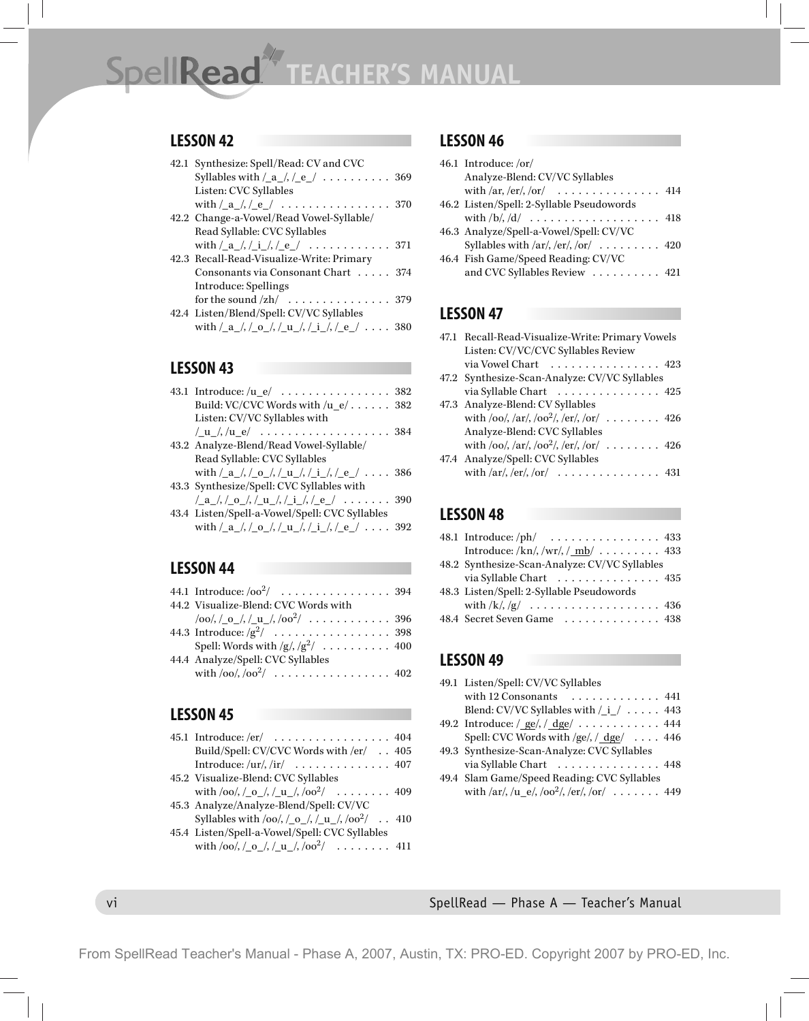# SpellRead<sup>/</sup> TEACHER'S MANUAL

#### **LESSON 42**

| 42.1 Synthesize: Spell/Read: CV and CVC                                                                                                                                |
|------------------------------------------------------------------------------------------------------------------------------------------------------------------------|
| Syllables with $\frac{a}{a}$ , $\frac{b}{c}$ , $\frac{c}{a}$ , $\cdots$ 369                                                                                            |
| Listen: CVC Syllables                                                                                                                                                  |
|                                                                                                                                                                        |
| 42.2 Change-a-Vowel/Read Vowel-Syllable/                                                                                                                               |
| Read Syllable: CVC Syllables                                                                                                                                           |
|                                                                                                                                                                        |
| 42.3 Recall-Read-Visualize-Write: Primary                                                                                                                              |
| Consonants via Consonant Chart  374                                                                                                                                    |
| Introduce: Spellings                                                                                                                                                   |
| for the sound $\langle zh/ \cdot \cdot \cdot \cdot \cdot \cdot \cdot \cdot \cdot \cdot \cdot \cdot \cdot \cdot 379$                                                    |
| 42.4 Listen/Blend/Spell: CV/VC Syllables                                                                                                                               |
| with $\frac{a_1}{a_2}$ , $\frac{0}{a_1}$ , $\frac{1}{a_2}$ , $\frac{1}{a_2}$ , $\frac{1}{a_2}$ , $\frac{1}{a_2}$ , $\frac{1}{a_2}$ , $\frac{1}{a_2}$ , $\frac{1}{a_2}$ |

#### **LESSON 43**

| 43.1 Introduce: $/u_e / \ldots \ldots \ldots \ldots \ldots 382$                                                                                                                                                                                                                                    |  |
|----------------------------------------------------------------------------------------------------------------------------------------------------------------------------------------------------------------------------------------------------------------------------------------------------|--|
| Build: VC/CVC Words with /u_e/ 382                                                                                                                                                                                                                                                                 |  |
| Listen: CV/VC Syllables with                                                                                                                                                                                                                                                                       |  |
|                                                                                                                                                                                                                                                                                                    |  |
| 43.2 Analyze-Blend/Read Vowel-Syllable/                                                                                                                                                                                                                                                            |  |
| Read Syllable: CVC Syllables                                                                                                                                                                                                                                                                       |  |
| with $\frac{a_{\lambda}}{a_{\lambda}}$ , $\frac{a_{\lambda}}{a_{\lambda}}$ , $\frac{a_{\lambda}}{a_{\lambda}}$ , $\frac{a_{\lambda}}{a_{\lambda}}$ , $\frac{a_{\lambda}}{a_{\lambda}}$ , $\frac{a_{\lambda}}{a_{\lambda}}$ , $\frac{a_{\lambda}}{a_{\lambda}}$ , $\frac{a_{\lambda}}{a_{\lambda}}$ |  |
| 43.3 Synthesize/Spell: CVC Syllables with                                                                                                                                                                                                                                                          |  |
|                                                                                                                                                                                                                                                                                                    |  |
| 43.4 Listen/Spell-a-Vowel/Spell: CVC Syllables                                                                                                                                                                                                                                                     |  |
| with $\frac{a}{a}$ , $\frac{1}{0}$ , $\frac{1}{u}$ , $\frac{1}{i}$ , $\frac{1}{e}$ , $\frac{1}{u}$ , $\frac{1}{u}$ , $\frac{1}{u}$ , $\frac{1}{u}$ , $\frac{1}{u}$ , $\frac{1}{u}$ , $\frac{1}{u}$ , $\frac{1}{u}$                                                                                 |  |
|                                                                                                                                                                                                                                                                                                    |  |

#### **LESSON 44**

| 44.2 Visualize-Blend: CVC Words with                                  |
|-----------------------------------------------------------------------|
|                                                                       |
|                                                                       |
| Spell: Words with $/g/ g^2/ \ldots \ldots \ldots \ldots 400$          |
| 44.4 Analyze/Spell: CVC Syllables                                     |
| with $/00$ , $/00^2$ $\ldots$ $\ldots$ $\ldots$ $\ldots$ $\ldots$ 402 |

#### **LESSON 45**

| 45.1 Introduce: /er/  404                                                                                                                        |
|--------------------------------------------------------------------------------------------------------------------------------------------------|
| Build/Spell: CV/CVC Words with /er/ 405                                                                                                          |
| Introduce: $\langle \text{ur/}, \langle \text{ir/}, \ldots, \ldots, \ldots, 407 \rangle$                                                         |
| 45.2 Visualize-Blend: CVC Syllables                                                                                                              |
| with $\frac{\log 1}{\log 100}$ , $\frac{\log 1}{\log 100}$ , $\frac{\log 1}{\log 100}$ , $\frac{\log 2}{\log 100}$ , $\frac{\log 100}{\log 100}$ |
| 45.3 Analyze/Analyze-Blend/Spell: CV/VC                                                                                                          |
| Syllables with /oo/, $\frac{\log 2}{\log 2}$ , $\frac{\log 2}{\log 2}$ 410                                                                       |
| 45.4 Listen/Spell-a-Vowel/Spell: CVC Syllables                                                                                                   |
|                                                                                                                                                  |
|                                                                                                                                                  |

#### **LESSON 46**

| 46.1 Introduce: /or/                                   |  |
|--------------------------------------------------------|--|
| Analyze-Blend: CV/VC Syllables                         |  |
| with /ar, /er/, /or/ $\ldots \ldots \ldots \ldots$ 414 |  |
| 46.2 Listen/Spell: 2-Syllable Pseudowords              |  |
|                                                        |  |
| 46.3 Analyze/Spell-a-Vowel/Spell: CV/VC                |  |
| Syllables with /ar/, /er/, /or/ $\dots \dots$ 420      |  |
| 46.4 Fish Game/Speed Reading: CV/VC                    |  |
| and CVC Syllables Review 421                           |  |
|                                                        |  |

#### **LESSON 47**

| 47.1 Recall-Read-Visualize-Write: Primary Vowels                                                                                                                                                                                                                  |  |  |  |  |  |  |  |  |
|-------------------------------------------------------------------------------------------------------------------------------------------------------------------------------------------------------------------------------------------------------------------|--|--|--|--|--|--|--|--|
| Listen: CV/VC/CVC Syllables Review                                                                                                                                                                                                                                |  |  |  |  |  |  |  |  |
| via Vowel Chart 423                                                                                                                                                                                                                                               |  |  |  |  |  |  |  |  |
| 47.2 Synthesize-Scan-Analyze: CV/VC Syllables                                                                                                                                                                                                                     |  |  |  |  |  |  |  |  |
| via Syllable Chart $\dots\dots\dots\dots\dots$ 425                                                                                                                                                                                                                |  |  |  |  |  |  |  |  |
| 47.3 Analyze-Blend: CV Syllables                                                                                                                                                                                                                                  |  |  |  |  |  |  |  |  |
| with /oo/, /ar/, /oo <sup>2</sup> /, /er/, /or/  426                                                                                                                                                                                                              |  |  |  |  |  |  |  |  |
| Analyze-Blend: CVC Syllables                                                                                                                                                                                                                                      |  |  |  |  |  |  |  |  |
| with /oo/, /ar/, /oo <sup>2</sup> /, /er/, /or/  426                                                                                                                                                                                                              |  |  |  |  |  |  |  |  |
| 47.4 Analyze/Spell: CVC Syllables                                                                                                                                                                                                                                 |  |  |  |  |  |  |  |  |
| with $\langle \arctan \sqrt{\arctan (x)} \arctan \sqrt{\arctan (x)} \arctan \sqrt{\arctan (x)} \arctan \sqrt{\arctan (x)} \arctan \sqrt{\arctan (x)} \arctan \sqrt{\arctan (x)} \arctan \sqrt{\arctan (x)} \arctan \sqrt{\arctan (x)} \arctan \sqrt{\arctan (x)}$ |  |  |  |  |  |  |  |  |

# **LESSON 48**

| 48.1 Introduce: $\frac{p h}{\cdot \cdot \cdot \cdot \cdot \cdot \cdot \cdot \cdot \cdot \cdot \cdot \cdot \cdot \cdot 433}$ |
|-----------------------------------------------------------------------------------------------------------------------------|
| Introduce: $/kn/$ , $/wr/$ , $mb/$ 433                                                                                      |
| 48.2 Synthesize-Scan-Analyze: CV/VC Syllables                                                                               |
| via Syllable Chart  435                                                                                                     |
| 48.3 Listen/Spell: 2-Syllable Pseudowords                                                                                   |
|                                                                                                                             |
| 48.4 Secret Seven Game 438                                                                                                  |
|                                                                                                                             |

#### **LESSON 49**

| 49.1 Listen/Spell: CV/VC Syllables                     |
|--------------------------------------------------------|
| with 12 Consonants  441                                |
| Blend: CV/VC Syllables with $\frac{1}{1}$ 443          |
| 49.2 Introduce: <u>/ ge/, / dge</u> / 444              |
| Spell: CVC Words with /ge/, $\frac{1}{\text{deg}}$ 446 |
| 49.3 Synthesize-Scan-Analyze: CVC Syllables            |
| via Syllable Chart  448                                |
| 49.4 Slam Game/Speed Reading: CVC Syllables            |
| with /ar/, /u_e/, /oo <sup>2</sup> /, /er/, /or/  449  |
|                                                        |

vi SpellRead — Phase A — Teacher's Manual